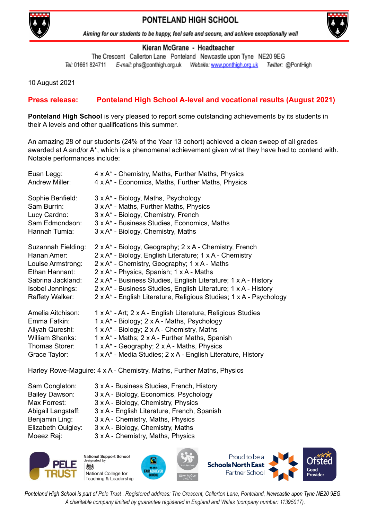

## PONTELAND HIGH SCHOOL



Aiming for our students to be happy, feel safe and secure, and achieve exceptionally well

## Kieran McGrane - Headteacher

The Crescent Callerton Lane Ponteland Newcastle upon Tyne NE20 9EG Tel: 01661 824711 E-mail: phs@ponthigh.org.uk Website: www.ponthigh.org.uk Twitter: @PontHigh

10 August 2021

## **Press release: Ponteland High School A-level and vocational results (August 2021)**

**Ponteland High School** is very pleased to report some outstanding achievements by its students in their A levels and other qualifications this summer.

An amazing 28 of our students (24% of the Year 13 cohort) achieved a clean sweep of all grades awarded at A and/or A\*, which is a phenomenal achievement given what they have had to contend with. Notable performances include:

| Euan Legg:             | 4 x A* - Chemistry, Maths, Further Maths, Physics                  |
|------------------------|--------------------------------------------------------------------|
| <b>Andrew Miller:</b>  | 4 x A* - Economics, Maths, Further Maths, Physics                  |
| Sophie Benfield:       | 3 x A* - Biology, Maths, Psychology                                |
| Sam Burrin:            | 3 x A* - Maths, Further Maths, Physics                             |
| Lucy Cardno:           | 3 x A* - Biology, Chemistry, French                                |
| Sam Edmondson:         | 3 x A* - Business Studies, Economics, Maths                        |
| Hannah Tumia:          | 3 x A* - Biology, Chemistry, Maths                                 |
| Suzannah Fielding:     | 2 x A* - Biology, Geography; 2 x A - Chemistry, French             |
| Hanan Amer:            | 2 x A* - Biology, English Literature; 1 x A - Chemistry            |
| Louise Armstrong:      | 2 x A* - Chemistry, Geography; 1 x A - Maths                       |
| Ethan Hannant:         | 2 x A* - Physics, Spanish; 1 x A - Maths                           |
| Sabrina Jackland:      | 2 x A* - Business Studies, English Literature; 1 x A - History     |
| Isobel Jennings:       | 2 x A* - Business Studies, English Literature; 1 x A - History     |
| Raffety Walker:        | 2 x A* - English Literature, Religious Studies; 1 x A - Psychology |
| Amelia Aitchison:      | 1 x A* - Art; 2 x A - English Literature, Religious Studies        |
| Emma Fatkin:           | 1 x A* - Biology; 2 x A - Maths, Psychology                        |
| Aliyah Qureshi:        | 1 x A* - Biology; 2 x A - Chemistry, Maths                         |
| <b>William Shanks:</b> | 1 x A* - Maths; 2 x A - Further Maths, Spanish                     |
| Thomas Storer:         | 1 x A* - Geography; 2 x A - Maths, Physics                         |
| Grace Taylor:          | 1 x A* - Media Studies; 2 x A - English Literature, History        |
|                        | $\blacksquare$                                                     |

Harley Rowe-Maguire: 4 x A - Chemistry, Maths, Further Maths, Physics

| 3 x A - Business Studies, French, History   |
|---------------------------------------------|
| 3 x A - Biology, Economics, Psychology      |
| 3 x A - Biology, Chemistry, Physics         |
| 3 x A - English Literature, French, Spanish |
| 3 x A - Chemistry, Maths, Physics           |
| 3 x A - Biology, Chemistry, Maths           |
| 3 x A - Chemistry, Maths, Physics           |
|                                             |



**National Support School** id heternizel 燃 National College for Teaching & Leadership





Ponteland High School is part of Pele Trust. Registered address: The Crescent, Callerton Lane, Ponteland, Newcastle upon Tyne NE20 9EG. *A charitable company limited by guarantee registered in England and Wales (company number: 11395017).*